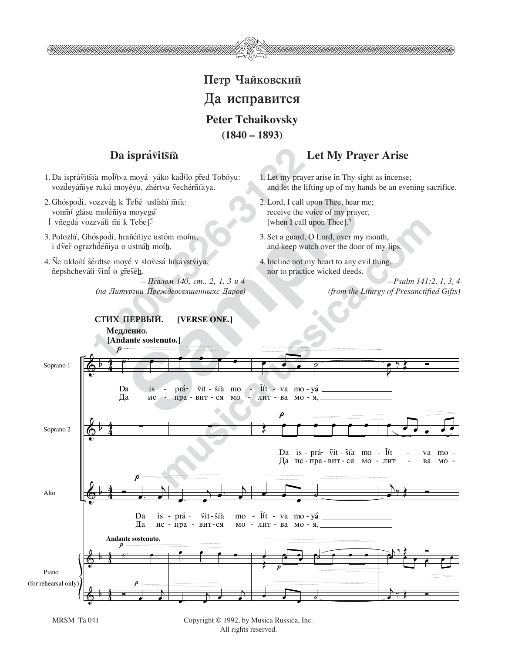

## Da isprávitšia

- 1. Da isprávtišia molítva moyá yáko kadílo před Tobóyu: vozdeváñiye rukú moyéyu, zhértva vechérñiaya.
- 2. Ghóspod̃i, vozzváh k Ťeb̃é usli̇́shï m̃ía: vonmí glásu moléniya moyegó [ vñegdá vozzváti mi k Teb̃e]\*)
- 3. Polozhi<sup>'</sup>, Ghóspodi, hrañéñiye ustóm moím, i dver ograzhdéñiya o ustnáh moíh.
- 4. Ne ukloñí sérdtse moyé v slovesá lukávstviya, ñepshchevát̃i ṽini o gr̃es̃éh.

— Псалом 140, ст., 2, 1, 3 и 4 *(na Liturgii PreΩdeosvåwennyxs Darov)*

## **Let My Prayer Arise**

- 1. Let my prayer arise in Thy sight as incense; and let the lifting up of my hands be an evening sacrifice.
- 2. Lord, I call upon Thee, hear me; receive the voice of my prayer, [when I call upon Thee].<sup>\*</sup>
- 3. Set a guard, O Lord, over my mouth, and keep watch over the door of my lips.
- 4. Incline not my heart to any evil thing, nor to practice wicked deeds.

*—Psalm 141:2, 1, 3, 4 (from the Liturgy of Presanctified Gifts)*

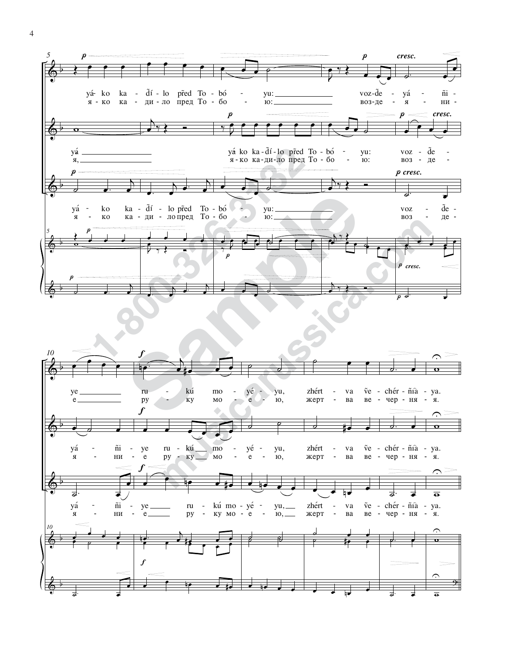

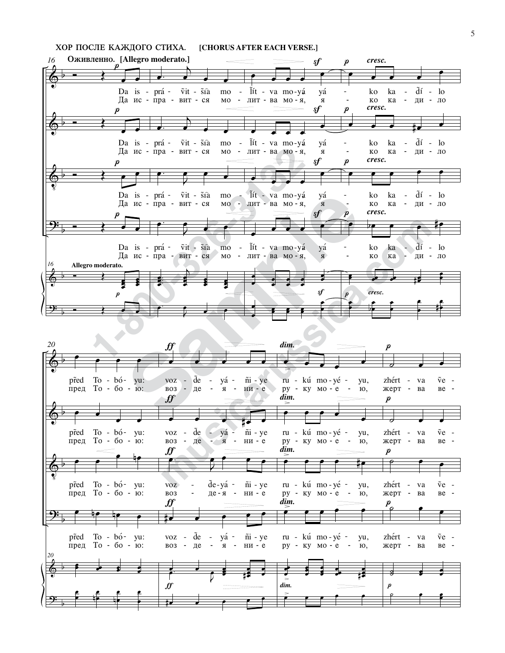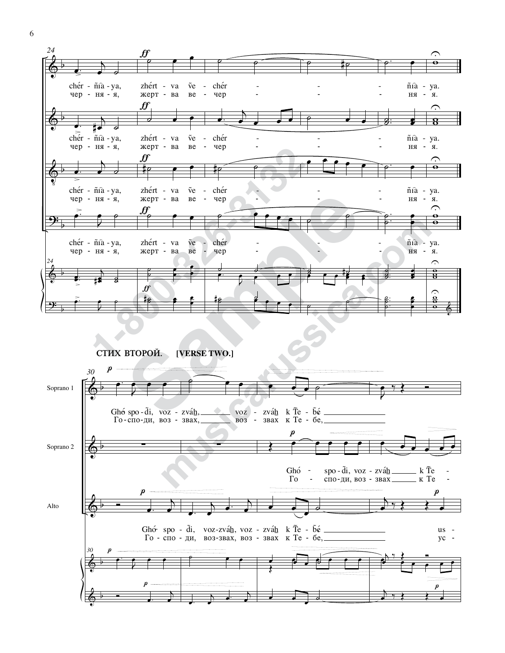

**СТИХ ВТОРОЙ. [VERSE TWO.]** 

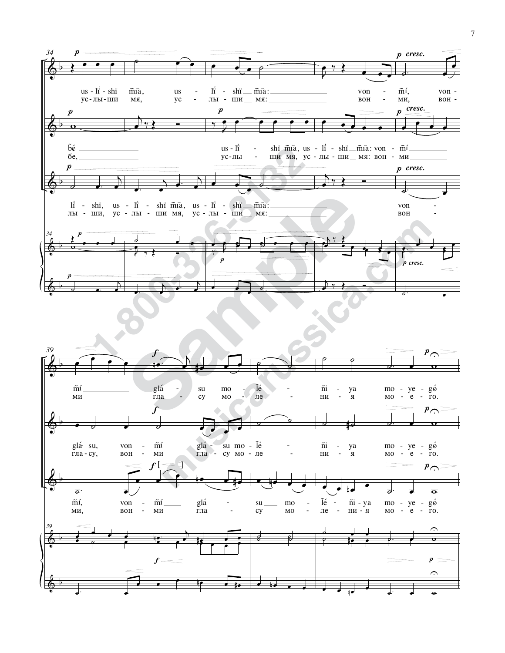

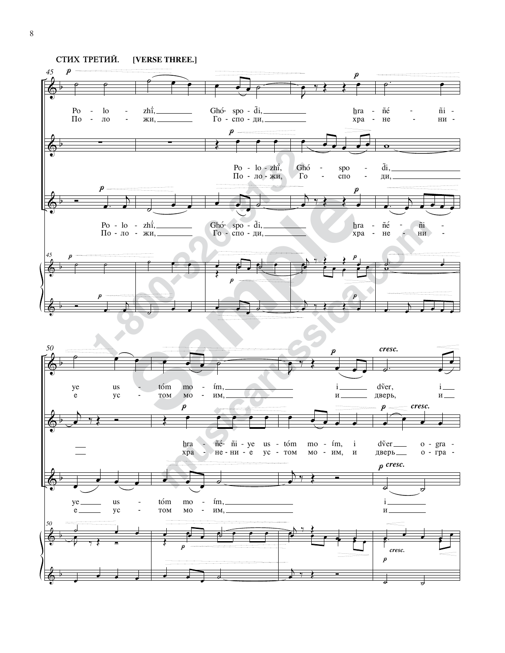

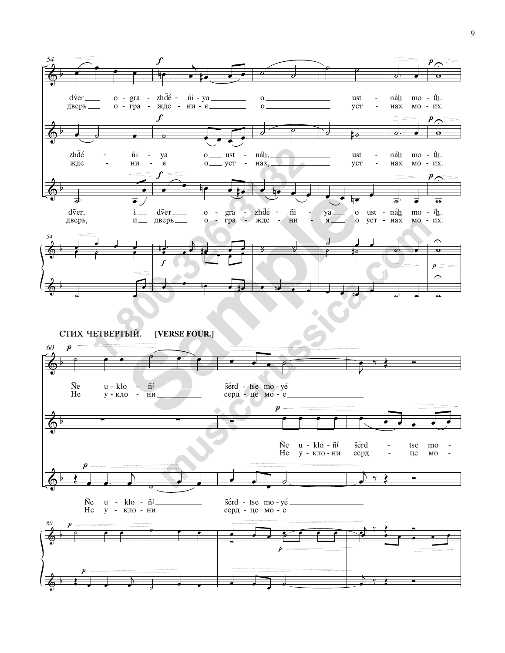